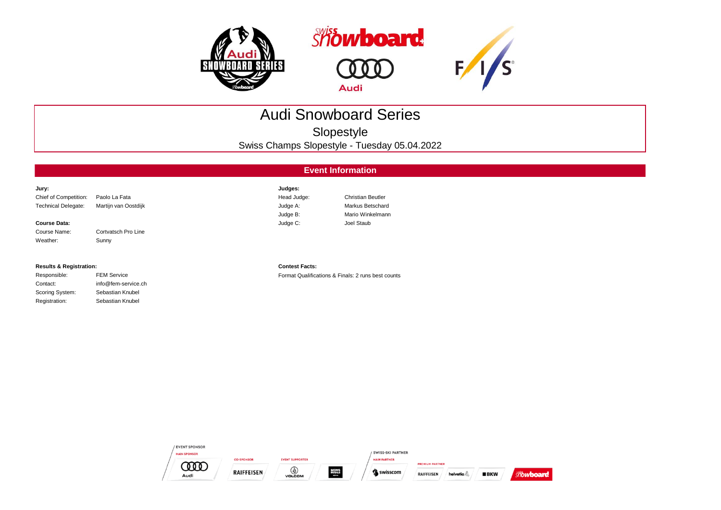

Scoring System: Sebastian Knubel Registration: Sebastian Knubel





## Audi Snowboard Series

Slopestyle

Swiss Champs Slopestyle - Tuesday 05.04.2022

## **Event Information**

| Jury:                              |                      | Judges:               |                                                    |
|------------------------------------|----------------------|-----------------------|----------------------------------------------------|
| Chief of Competition:              | Paolo La Fata        | Head Judge:           | <b>Christian Beutler</b>                           |
| <b>Technical Delegate:</b>         | Martijn van Oostdijk | Judge A:              | Markus Betschard                                   |
|                                    |                      | Judge B:              | Mario Winkelmann                                   |
| <b>Course Data:</b>                |                      | Judge C:              | Joel Staub                                         |
| Course Name:                       | Cortvatsch Pro Line  |                       |                                                    |
| Weather:                           | Sunny                |                       |                                                    |
|                                    |                      |                       |                                                    |
|                                    |                      |                       |                                                    |
| <b>Results &amp; Registration:</b> |                      | <b>Contest Facts:</b> |                                                    |
| Responsible:                       | <b>FEM Service</b>   |                       | Format Qualifications & Finals: 2 runs best counts |
| Contact:                           | info@fem-service.ch  |                       |                                                    |

| / EVENT SPONSOR<br><b>MAIN SPONSOR</b> |                   |                        |                                        | <b>SWISS-SKI PARTNER</b> |                        |                        |       |
|----------------------------------------|-------------------|------------------------|----------------------------------------|--------------------------|------------------------|------------------------|-------|
|                                        | <b>CO-SPONSOR</b> | <b>EVENT SUPPORTER</b> |                                        | <b>MAIN PARTNER</b>      | <b>PREMIUM PARTNER</b> |                        |       |
| Audi                                   | <b>RAIFFEISEN</b> | ♦<br><b>VOLCOM</b>     | <b>MONS</b><br>ROMLE<br><b>STATION</b> | Se swisscom              | <b>RAIFFEISEN</b>      | <b>BKW</b><br>helvetia | hoard |